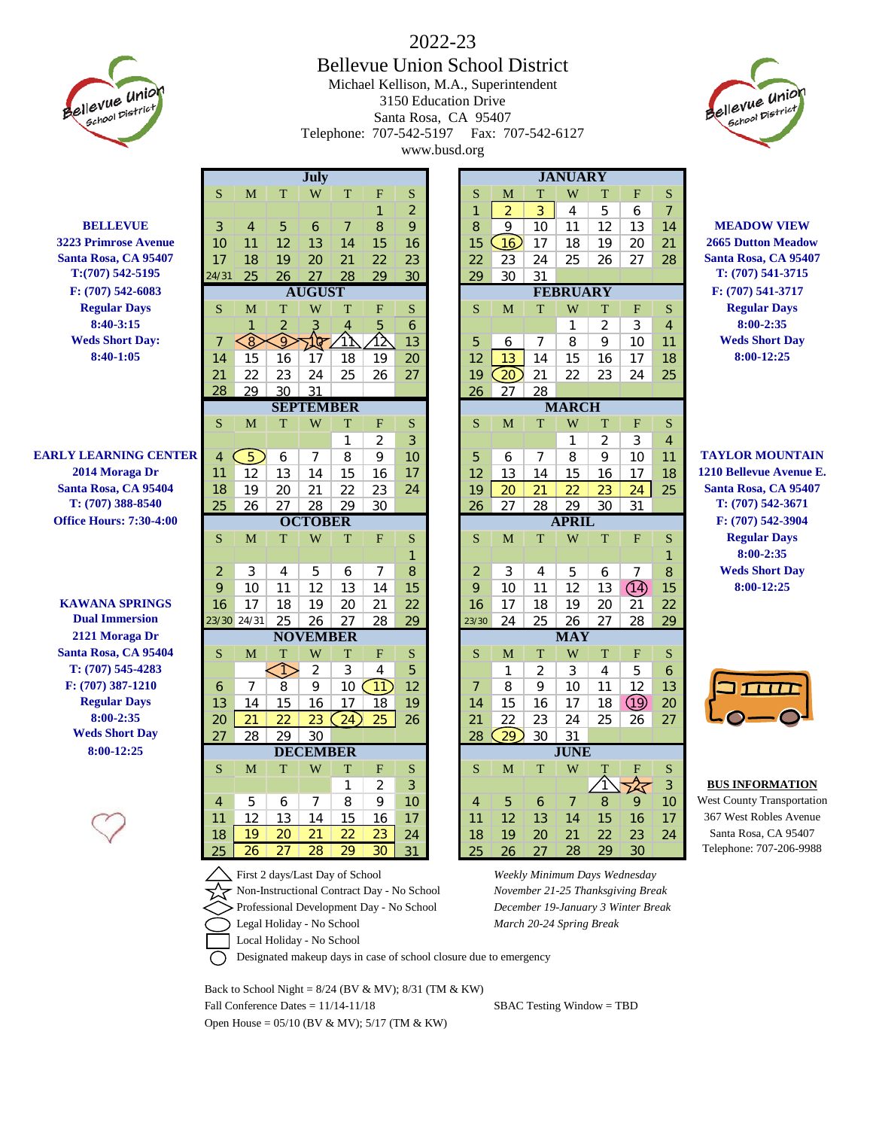

## 2022-23 Bellevue Union School District Michael Kellison, M.A., Superintendent 3150 Education Drive Santa Rosa, CA 95407 Telephone: 707-542-5197 Fax: 707-542-6127 www.busd.org

S M T W T F S S M T W T F S

**July JANUARY**

1 2 1 2 3 4 5 6 7





| <b>BELLEVUE</b>                | 3                | 4                     | 5                     | 6                     | 7                     | 8                     | 9        |  | 8              | $\mathsf Q$     | 10              | 11                | 12                | 13         | 14             | <b>MEADOW VIEW</b>                              |
|--------------------------------|------------------|-----------------------|-----------------------|-----------------------|-----------------------|-----------------------|----------|--|----------------|-----------------|-----------------|-------------------|-------------------|------------|----------------|-------------------------------------------------|
| <b>3223 Primrose Avenue</b>    | 10               | 11                    | 12                    | 13                    | 14                    | 15                    | 16       |  | 15             | 16              | 17              | 18                | 19                | 20         | 21             | <b>2665 Dutton Meadow</b>                       |
| Santa Rosa, CA 95407           | 17               | 18                    | 19                    | 20                    | 21                    | 22                    | 23       |  | 22             | 23              | 24              | 25                | 26                | 27         | 28             | Santa Rosa, CA 95407                            |
| $T:(707) 542 - 5195$           | 24/31            | 25                    | 26                    | 27                    | 28                    | 29                    | 30       |  | 29             | 30              | 31              |                   |                   |            |                | T: (707) 541-3715                               |
| F: (707) 542-6083              | <b>AUGUST</b>    |                       |                       |                       |                       |                       |          |  |                |                 | <b>FEBRUARY</b> |                   | F: (707) 541-3717 |            |                |                                                 |
| <b>Regular Days</b>            | S                | M                     | T                     | W                     | T                     | F                     | S        |  | S              | M               | T               | W                 | T                 | F          | S              | <b>Regular Days</b>                             |
| $8:40-3:15$                    |                  |                       | 2                     |                       |                       | 5                     | 6        |  |                |                 |                 | 1                 | 2                 | 3          | $\overline{4}$ | 8:00-2:35                                       |
| <b>Weds Short Day:</b>         | $\overline{7}$   | €                     | $\Omega$              | মফ                    |                       | 公                     | 13       |  | 5              | 6               | 7               | 8                 | 9                 | 10         | 11             | <b>Weds Short Day</b>                           |
| 8:40-1:05                      | 14               | 15                    | 16                    | 17                    | 18                    | 19                    | 20       |  | 12             | 13              | 14              | 15                | 16                | 17         | 18             | 8:00-12:25                                      |
|                                | 21               | 22                    | 23                    | 24                    | $\overline{25}$       | 26                    | 27       |  | 19             | $\boxed{20}$    | 21              | $\overline{22}$   | 23                | 24         | 25             |                                                 |
|                                | 28               | 29                    | 30                    | 31                    |                       |                       |          |  | 26             | 27              | 28              |                   |                   |            |                |                                                 |
|                                | <b>SEPTEMBER</b> |                       |                       |                       |                       |                       |          |  |                |                 | <b>MARCH</b>    |                   |                   |            |                |                                                 |
|                                | S                | M                     | T                     | W                     | T                     | F                     | S        |  | S              | M               | T               | W                 | T                 | F          | S              |                                                 |
|                                |                  |                       |                       |                       | $\mathbf{1}$          | $\overline{2}$        | 3        |  |                |                 |                 | $\mathbf{1}$      | $\overline{2}$    | 3          | $\overline{4}$ |                                                 |
| <b>EARLY LEARNING CENTER</b>   | $\overline{4}$   | $\boxed{5}$           | 6                     | $\overline{7}$        | 8                     | 9                     | 10       |  | 5              | 6               | $\overline{7}$  | 8                 | 9                 | 10         | 11             | <b>TAYLOR MOUNTAIN</b>                          |
| 2014 Moraga Dr                 | 11               | 12                    | 13                    | 14                    | 15                    | 16                    | 17       |  | 12             | 13              | 14              | 15                | 16                | 17         | 18             | 1210 Bellevue Avenue E.                         |
| Santa Rosa, CA 95404           | 18               | 19                    | 20                    | 21                    | 22                    | 23                    | 24       |  | 19             | 20              | 21              | 22                | 23                | 24         | 25             | Santa Rosa, CA 95407                            |
| T: (707) 388-8540              | 25               | 26                    | 27                    | 28                    | 29                    | 30                    |          |  | 26             | 27              | 28              | 29                | 30                | 31         |                | T: (707) 542-3671                               |
| <b>Office Hours: 7:30-4:00</b> | <b>OCTOBER</b>   |                       |                       |                       |                       |                       |          |  |                |                 | <b>APRIL</b>    |                   | F: (707) 542-3904 |            |                |                                                 |
|                                | S                | M                     | T                     | W                     | T                     | F                     | S        |  | S              | M               | T               | W                 | T                 | F          | S              | <b>Regular Days</b>                             |
|                                |                  |                       |                       |                       |                       |                       | 1        |  |                |                 |                 |                   |                   |            | 1              | 8:00-2:35                                       |
|                                | $\overline{2}$   | 3                     | 4                     | 5                     | 6                     | 7                     | 8        |  | $\overline{2}$ | 3               | 4               | 5                 | 6                 | 7          | 8              | <b>Weds Short Day</b>                           |
|                                | $\overline{Q}$   | 10                    | 11                    | 12                    | 13                    | 14                    | 15       |  | $\overline{Q}$ | 10              | 11              | 12                | 13                | (14)       | 15             | 8:00-12:25                                      |
| <b>KAWANA SPRINGS</b>          | 16               | 17                    | 18                    | 19                    | 20                    | 21                    | 22       |  | 16             | 17              | 18              | 19                | 20                | 21         | 22             |                                                 |
| <b>Dual Immersion</b>          |                  | 23/30 24/31           | 25                    | 26                    | 27                    | 28                    | 29       |  | 23/30          | 24              | 25              | 26                | 27                | 28         | 29             |                                                 |
| 2121 Moraga Dr                 |                  |                       |                       | <b>NOVEMBER</b>       |                       |                       |          |  |                |                 |                 | <b>MAY</b>        |                   |            |                |                                                 |
| Santa Rosa, CA 95404           | S                | M                     | T                     | W                     | T                     | F                     | S        |  | S              | M               | T               | W                 | T                 | F          | S              |                                                 |
| T: (707) 545-4283              |                  |                       | ♦                     | $\overline{2}$        | 3                     | $\overline{4}$        | 5        |  |                | $\mathbf{1}$    | $\overline{2}$  | 3                 | $\overline{4}$    | 5          | 6              |                                                 |
| F: (707) 387-1210              | 6                | $\overline{7}$        | 8                     | 9                     | 10                    | 11)                   | 12       |  | 7              | 8               | 9               | 10                | 11                | 12         | 13             |                                                 |
| <b>Regular Days</b>            | 13               | 14                    | 15                    | 16                    | 17                    | 18                    | 19       |  | 14             | 15              | 16              | 17                | 18                | $\bigcirc$ | 20             |                                                 |
| 8:00-2:35                      | 20               | $\overline{21}$       | $\overline{22}$       | $\overline{23}$       | 24)                   | 25                    | 26       |  | 21             | 22              | 23              | 24                | 25                | 26         | 27             |                                                 |
| <b>Weds Short Day</b>          | 27               | 28                    | 29                    | 30                    |                       |                       |          |  | 28             | $\overline{29}$ | 30              | 31<br><b>JUNE</b> |                   |            |                |                                                 |
| 8:00-12:25                     |                  | <b>DECEMBER</b>       |                       |                       |                       |                       |          |  |                |                 |                 |                   |                   |            |                |                                                 |
|                                | S                | M                     | T                     | W                     | T                     | F                     | S        |  | S              | M               | T               | W                 |                   | F          | S              |                                                 |
|                                |                  |                       |                       |                       | 1                     | $\overline{2}$        | 3        |  |                |                 |                 |                   |                   | ☆          | 3              | <b>BUS INFORMATION</b>                          |
|                                | $\overline{4}$   | 5                     | 6                     | $\overline{7}$        | 8                     | 9                     | 10       |  | $\overline{4}$ | 5               | 6               | 7                 | 8                 | 9          | 10             | <b>West County Transportation</b>               |
|                                | 11               | 12                    | 13                    | 14                    | 15                    | 16                    | 17       |  | 11             | 12              | 13              | 14                | 15                | 16         | 17             | 367 West Robles Avenue                          |
|                                |                  |                       |                       |                       |                       |                       |          |  |                |                 |                 |                   |                   |            |                |                                                 |
|                                | 18<br>25         | 19<br>$\overline{26}$ | 20<br>$\overline{27}$ | $\overline{21}$<br>28 | 22<br>$\overline{29}$ | 23<br>$\overline{30}$ | 24<br>31 |  | 18<br>25       | 19<br>26        | 20<br>27        | 21<br>28          | 22<br>29          | 23<br>30   | 24             | Santa Rosa, CA 95407<br>Telephone: 707-206-9988 |

|     |                |                |                |                |    |                |                 |                |    |                |                    | ು                         | 4              |  |
|-----|----------------|----------------|----------------|----------------|----|----------------|-----------------|----------------|----|----------------|--------------------|---------------------------|----------------|--|
| 18  | 17             | 16             | 15             | 14             | 13 | 12             | 17              | 16             | 15 | 14             | 13                 | 12                        | $\overline{1}$ |  |
| 25  | 24             | 23             | 22             | 21             | 20 | 19             | 24              | 23             | 22 | 21             | 20                 | 19                        | 8              |  |
|     | 31             | 30             | 29             | 28             | 27 | 26             |                 | 30             | 29 | 28             | 27                 | 26                        | 25             |  |
|     |                |                | <b>APRIL</b>   |                |    |                | <b>OCTOBER</b>  |                |    |                |                    |                           |                |  |
| S   | $\overline{F}$ | T              | W              | T              | M  | S              | S               | $\overline{F}$ | T  | W              | T                  | M                         | S.             |  |
|     |                |                |                |                |    |                |                 |                |    |                |                    |                           |                |  |
| 8   | 7              | 6              | 5              | $\overline{4}$ | 3  | $\overline{2}$ | 8               | 7              | 6  | 5              | 4                  | 3                         | $\overline{2}$ |  |
| 15  | (14)           | 13             | 12             | 11             | 10 | 9              | 15              | 14             | 13 | 12             | 11                 | 10                        | 9              |  |
| 22  | 21             | 20             | 19             | 18             | 17 | 16             | 22              | 21             | 20 | 19             | 18                 | 17                        | 6              |  |
| 29  | 28             | 27             | 26             | 25             | 24 | 23/30          | 29              | 28             | 27 | 26             | 25                 | /30 24/31                 |                |  |
|     |                |                | <b>MAY</b>     |                |    |                | <b>NOVEMBER</b> |                |    |                |                    |                           |                |  |
| S   | F              | T              | W              | T              | M  | S              | S               | F              | T  | W              | T                  | M                         | S.             |  |
| 6   | 5              | $\overline{4}$ | 3              | $\overline{2}$ | 1  |                | 5               | 4              | 3  | $\overline{2}$ |                    |                           |                |  |
| 13  | 12             | 11             | 10             | 9              | 8  | $\overline{7}$ | 12              | $\boxed{11}$   | 10 | 9              | 8                  | $\overline{7}$            | 6              |  |
| 20  |                | 18             | 17             | 16             | 15 | 14             | 19              | 18             | 17 | 16             | 15                 | 14                        | 3              |  |
| 27  | 26             | 25             | 24             | 23             | 22 | 21             | 26              | 25             | 24 | 23             | 22                 | 21                        | 20             |  |
|     |                |                | 31             | 30             | 29 | 28             |                 |                |    | 30             | 29                 | 28                        | 27             |  |
|     |                |                | <b>JUNE</b>    |                |    |                |                 |                |    |                |                    |                           |                |  |
| S   | $\overline{F}$ | Т              | W              | T              | M  | S              | S               | F              | T  | W              | T                  | M                         | S              |  |
| 3   |                |                |                |                |    |                | 3               | $\overline{2}$ | 1  |                |                    |                           |                |  |
| 10  | 9              | $\mathsf{B}$   | $\overline{7}$ | 6              | 5  | 4              | 10              | 9              | 8  | 7              | 6                  | 5                         | 4              |  |
| 17  | 16             | 15             | 14             | 13             | 12 | 11             | 17              | 16             | 15 | 14             | 13                 | 12                        | $\mathbf{1}$   |  |
| 24  | 23             | 22             | 21             | 20             | 19 | 18             | 24              | 23             | 22 | 21             | 20                 | 19                        | 8              |  |
|     |                |                |                |                |    |                |                 |                |    |                |                    |                           |                |  |
| . . | ΙV<br>G9)      | ッ              | O              | $\prime$       | O  | O              |                 | טו             |    |                | $\prime$<br>O<br>ッ | O<br>♦<br><b>DECEMBER</b> |                |  |

First 2 days/Last Day of School *Weekly Minimum Days Wednesday* Non-Instructional Contract Day - No School *November 21-25 Thanksgiving Break* Legal Holiday - No School *March 20-24 Spring Break*

# **2 8 8 5 8 7 8 3 4 5 7 8 : 00-12:25 8 : 00-12:25**



Professional Development Day - No School *December 19-January 3 Winter Break*



Designated makeup days in case of school closure due to emergency

Back to School Night =  $8/24$  (BV & MV);  $8/31$  (TM & KW) Fall Conference Dates =  $11/14-11/18$  SBAC Testing Window = TBD Open House =  $05/10$  (BV & MV);  $5/17$  (TM & KW)